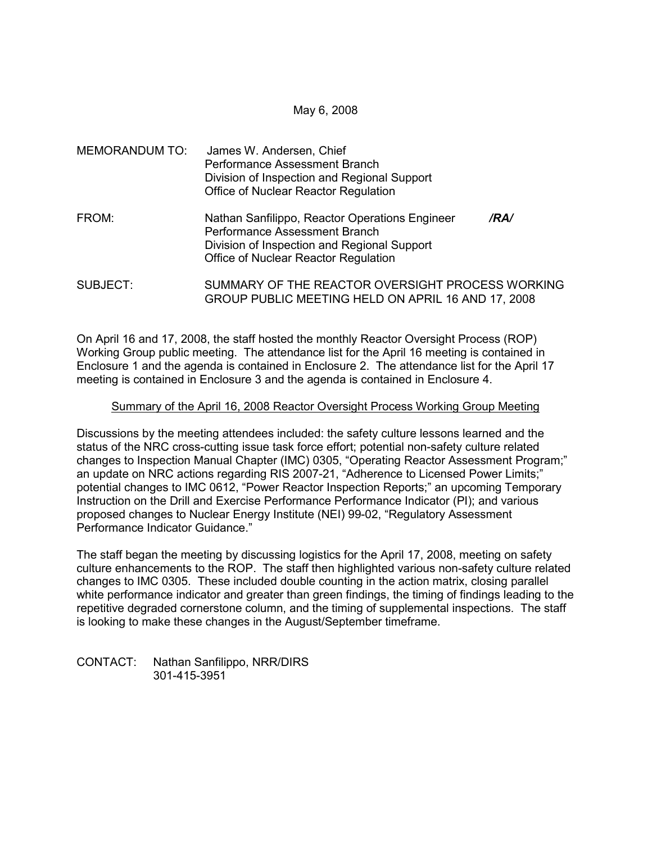### May 6, 2008

| MEMORANDUM TO: | James W. Andersen, Chief<br>Performance Assessment Branch<br>Division of Inspection and Regional Support<br>Office of Nuclear Reactor Regulation                               |
|----------------|--------------------------------------------------------------------------------------------------------------------------------------------------------------------------------|
| FROM:          | Nathan Sanfilippo, Reactor Operations Engineer<br>/RA/<br>Performance Assessment Branch<br>Division of Inspection and Regional Support<br>Office of Nuclear Reactor Regulation |
| SUBJECT:       | SUMMARY OF THE REACTOR OVERSIGHT PROCESS WORKING<br>GROUP PUBLIC MEETING HELD ON APRIL 16 AND 17, 2008                                                                         |

On April 16 and 17, 2008, the staff hosted the monthly Reactor Oversight Process (ROP) Working Group public meeting. The attendance list for the April 16 meeting is contained in Enclosure 1 and the agenda is contained in Enclosure 2. The attendance list for the April 17 meeting is contained in Enclosure 3 and the agenda is contained in Enclosure 4.

## Summary of the April 16, 2008 Reactor Oversight Process Working Group Meeting

Discussions by the meeting attendees included: the safety culture lessons learned and the status of the NRC cross-cutting issue task force effort; potential non-safety culture related changes to Inspection Manual Chapter (IMC) 0305, "Operating Reactor Assessment Program;" an update on NRC actions regarding RIS 2007-21, "Adherence to Licensed Power Limits;" potential changes to IMC 0612, "Power Reactor Inspection Reports;" an upcoming Temporary Instruction on the Drill and Exercise Performance Performance Indicator (PI); and various proposed changes to Nuclear Energy Institute (NEI) 99-02, "Regulatory Assessment Performance Indicator Guidance."

The staff began the meeting by discussing logistics for the April 17, 2008, meeting on safety culture enhancements to the ROP. The staff then highlighted various non-safety culture related changes to IMC 0305. These included double counting in the action matrix, closing parallel white performance indicator and greater than green findings, the timing of findings leading to the repetitive degraded cornerstone column, and the timing of supplemental inspections. The staff is looking to make these changes in the August/September timeframe.

CONTACT: Nathan Sanfilippo, NRR/DIRS 301-415-3951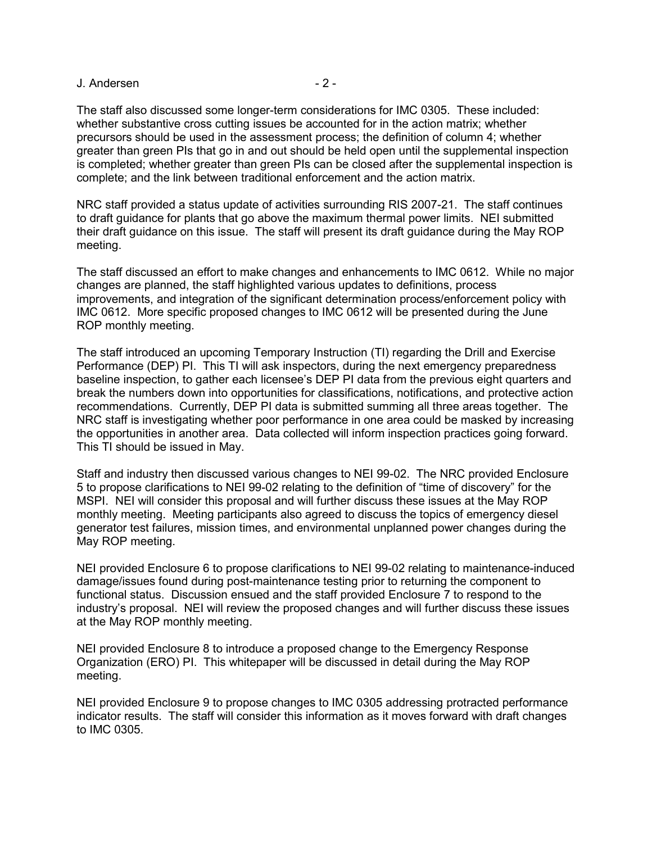### J. Andersen - 2 -

The staff also discussed some longer-term considerations for IMC 0305. These included: whether substantive cross cutting issues be accounted for in the action matrix; whether precursors should be used in the assessment process; the definition of column 4; whether greater than green PIs that go in and out should be held open until the supplemental inspection is completed; whether greater than green PIs can be closed after the supplemental inspection is complete; and the link between traditional enforcement and the action matrix.

NRC staff provided a status update of activities surrounding RIS 2007-21. The staff continues to draft guidance for plants that go above the maximum thermal power limits. NEI submitted their draft guidance on this issue. The staff will present its draft guidance during the May ROP meeting.

The staff discussed an effort to make changes and enhancements to IMC 0612. While no major changes are planned, the staff highlighted various updates to definitions, process improvements, and integration of the significant determination process/enforcement policy with IMC 0612. More specific proposed changes to IMC 0612 will be presented during the June ROP monthly meeting.

The staff introduced an upcoming Temporary Instruction (TI) regarding the Drill and Exercise Performance (DEP) PI. This TI will ask inspectors, during the next emergency preparedness baseline inspection, to gather each licensee's DEP PI data from the previous eight quarters and break the numbers down into opportunities for classifications, notifications, and protective action recommendations. Currently, DEP PI data is submitted summing all three areas together. The NRC staff is investigating whether poor performance in one area could be masked by increasing the opportunities in another area. Data collected will inform inspection practices going forward. This TI should be issued in May.

Staff and industry then discussed various changes to NEI 99-02. The NRC provided Enclosure 5 to propose clarifications to NEI 99-02 relating to the definition of "time of discovery" for the MSPI. NEI will consider this proposal and will further discuss these issues at the May ROP monthly meeting. Meeting participants also agreed to discuss the topics of emergency diesel generator test failures, mission times, and environmental unplanned power changes during the May ROP meeting.

NEI provided Enclosure 6 to propose clarifications to NEI 99-02 relating to maintenance-induced damage/issues found during post-maintenance testing prior to returning the component to functional status. Discussion ensued and the staff provided Enclosure 7 to respond to the industry's proposal. NEI will review the proposed changes and will further discuss these issues at the May ROP monthly meeting.

NEI provided Enclosure 8 to introduce a proposed change to the Emergency Response Organization (ERO) PI. This whitepaper will be discussed in detail during the May ROP meeting.

NEI provided Enclosure 9 to propose changes to IMC 0305 addressing protracted performance indicator results. The staff will consider this information as it moves forward with draft changes to IMC 0305.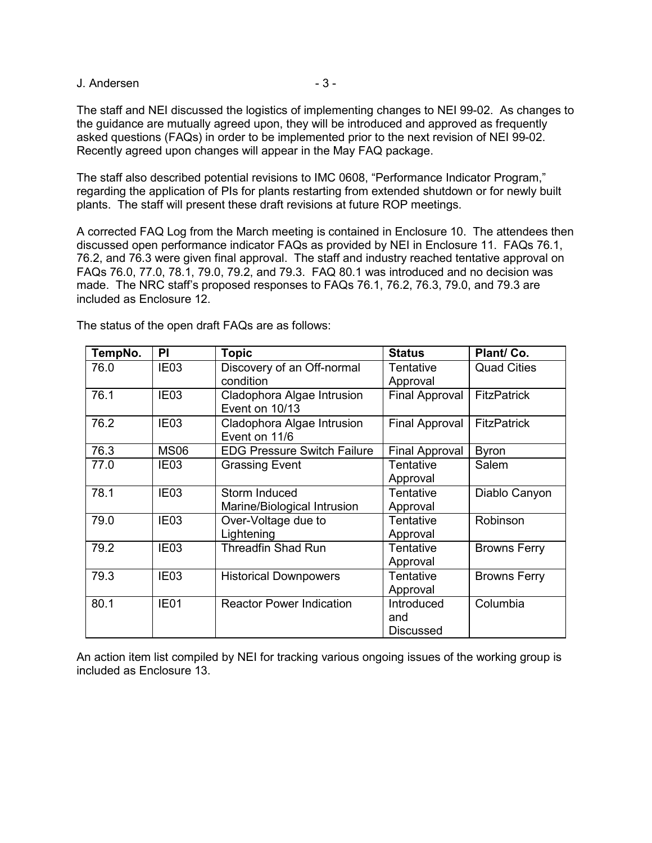J. Andersen - 3 -

The staff and NEI discussed the logistics of implementing changes to NEI 99-02. As changes to the guidance are mutually agreed upon, they will be introduced and approved as frequently asked questions (FAQs) in order to be implemented prior to the next revision of NEI 99-02. Recently agreed upon changes will appear in the May FAQ package.

The staff also described potential revisions to IMC 0608, "Performance Indicator Program," regarding the application of PIs for plants restarting from extended shutdown or for newly built plants. The staff will present these draft revisions at future ROP meetings.

A corrected FAQ Log from the March meeting is contained in Enclosure 10. The attendees then discussed open performance indicator FAQs as provided by NEI in Enclosure 11. FAQs 76.1, 76.2, and 76.3 were given final approval. The staff and industry reached tentative approval on FAQs 76.0, 77.0, 78.1, 79.0, 79.2, and 79.3. FAQ 80.1 was introduced and no decision was made. The NRC staff's proposed responses to FAQs 76.1, 76.2, 76.3, 79.0, and 79.3 are included as Enclosure 12.

TempNo. PI Topic Status Plant/ Co. 76.0 | IE03 | Discovery of an Off-normal condition Tentative Approval Quad Cities 76.1 IE03 Cladophora Algae Intrusion Event on 10/13 Final Approval | FitzPatrick 76.2 IE03 Cladophora Algae Intrusion Event on 11/6 Final Approval | FitzPatrick 76.3 | MS06 | EDG Pressure Switch Failure | Final Approval | Byron 77.0 | IE03 | Grassing Event | Tentative Approval Salem 78.1 | IE03 | Storm Induced Marine/Biological Intrusion **Tentative** Approval Diablo Canyon 79.0 | IE03 | Over-Voltage due to **Lightening Tentative** Approval Robinson 79.2 | IE03 | Threadfin Shad Run | Tentative Approval Browns Ferry 79.3 | IE03 | Historical Downpowers | Tentative Approval Browns Ferry 80.1 | IE01 | Reactor Power Indication | Introduced and Discussed Columbia

The status of the open draft FAQs are as follows:

An action item list compiled by NEI for tracking various ongoing issues of the working group is included as Enclosure 13.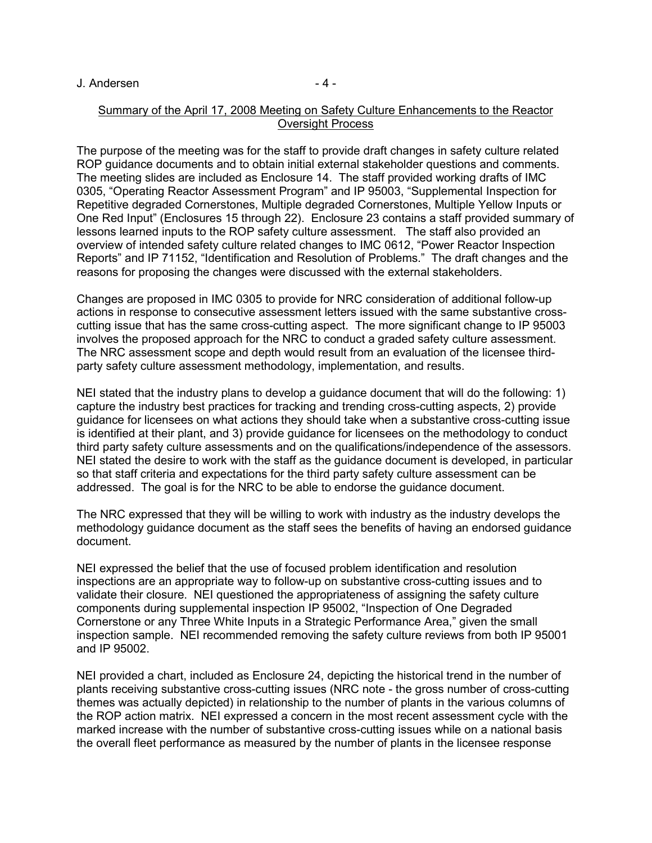#### J. Andersen - 4 -

### Summary of the April 17, 2008 Meeting on Safety Culture Enhancements to the Reactor Oversight Process

The purpose of the meeting was for the staff to provide draft changes in safety culture related ROP guidance documents and to obtain initial external stakeholder questions and comments. The meeting slides are included as Enclosure 14. The staff provided working drafts of IMC 0305, "Operating Reactor Assessment Program" and IP 95003, "Supplemental Inspection for Repetitive degraded Cornerstones, Multiple degraded Cornerstones, Multiple Yellow Inputs or One Red Input" (Enclosures 15 through 22). Enclosure 23 contains a staff provided summary of lessons learned inputs to the ROP safety culture assessment. The staff also provided an overview of intended safety culture related changes to IMC 0612, "Power Reactor Inspection Reports" and IP 71152, "Identification and Resolution of Problems." The draft changes and the reasons for proposing the changes were discussed with the external stakeholders.

Changes are proposed in IMC 0305 to provide for NRC consideration of additional follow-up actions in response to consecutive assessment letters issued with the same substantive crosscutting issue that has the same cross-cutting aspect. The more significant change to IP 95003 involves the proposed approach for the NRC to conduct a graded safety culture assessment. The NRC assessment scope and depth would result from an evaluation of the licensee thirdparty safety culture assessment methodology, implementation, and results.

NEI stated that the industry plans to develop a guidance document that will do the following: 1) capture the industry best practices for tracking and trending cross-cutting aspects, 2) provide guidance for licensees on what actions they should take when a substantive cross-cutting issue is identified at their plant, and 3) provide guidance for licensees on the methodology to conduct third party safety culture assessments and on the qualifications/independence of the assessors. NEI stated the desire to work with the staff as the guidance document is developed, in particular so that staff criteria and expectations for the third party safety culture assessment can be addressed. The goal is for the NRC to be able to endorse the guidance document.

The NRC expressed that they will be willing to work with industry as the industry develops the methodology guidance document as the staff sees the benefits of having an endorsed guidance document.

NEI expressed the belief that the use of focused problem identification and resolution inspections are an appropriate way to follow-up on substantive cross-cutting issues and to validate their closure. NEI questioned the appropriateness of assigning the safety culture components during supplemental inspection IP 95002, "Inspection of One Degraded Cornerstone or any Three White Inputs in a Strategic Performance Area," given the small inspection sample. NEI recommended removing the safety culture reviews from both IP 95001 and IP 95002.

NEI provided a chart, included as Enclosure 24, depicting the historical trend in the number of plants receiving substantive cross-cutting issues (NRC note - the gross number of cross-cutting themes was actually depicted) in relationship to the number of plants in the various columns of the ROP action matrix. NEI expressed a concern in the most recent assessment cycle with the marked increase with the number of substantive cross-cutting issues while on a national basis the overall fleet performance as measured by the number of plants in the licensee response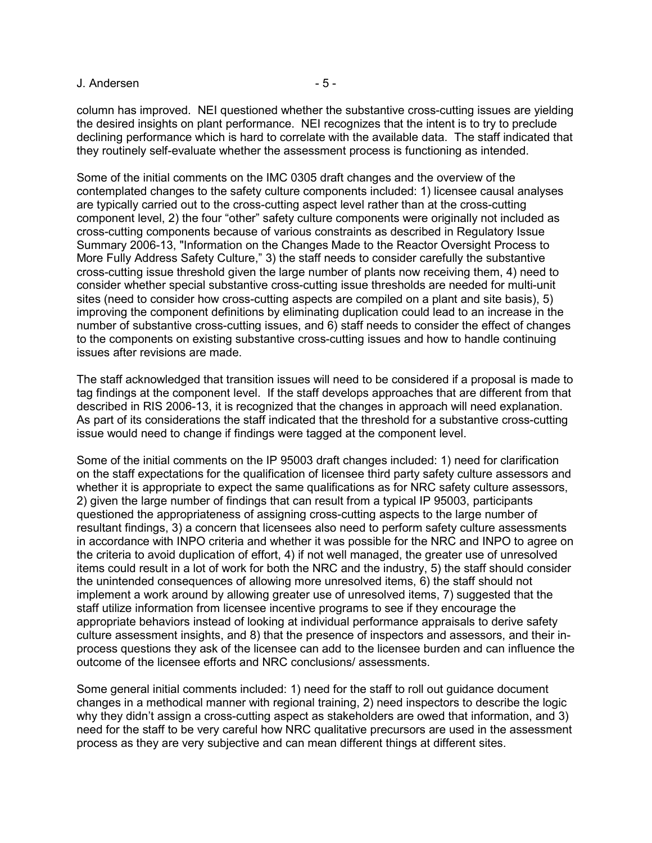#### J. Andersen - 5 -

column has improved. NEI questioned whether the substantive cross-cutting issues are yielding the desired insights on plant performance. NEI recognizes that the intent is to try to preclude declining performance which is hard to correlate with the available data. The staff indicated that they routinely self-evaluate whether the assessment process is functioning as intended.

Some of the initial comments on the IMC 0305 draft changes and the overview of the contemplated changes to the safety culture components included: 1) licensee causal analyses are typically carried out to the cross-cutting aspect level rather than at the cross-cutting component level, 2) the four "other" safety culture components were originally not included as cross-cutting components because of various constraints as described in Regulatory Issue Summary 2006-13, "Information on the Changes Made to the Reactor Oversight Process to More Fully Address Safety Culture," 3) the staff needs to consider carefully the substantive cross-cutting issue threshold given the large number of plants now receiving them, 4) need to consider whether special substantive cross-cutting issue thresholds are needed for multi-unit sites (need to consider how cross-cutting aspects are compiled on a plant and site basis), 5) improving the component definitions by eliminating duplication could lead to an increase in the number of substantive cross-cutting issues, and 6) staff needs to consider the effect of changes to the components on existing substantive cross-cutting issues and how to handle continuing issues after revisions are made.

The staff acknowledged that transition issues will need to be considered if a proposal is made to tag findings at the component level. If the staff develops approaches that are different from that described in RIS 2006-13, it is recognized that the changes in approach will need explanation. As part of its considerations the staff indicated that the threshold for a substantive cross-cutting issue would need to change if findings were tagged at the component level.

Some of the initial comments on the IP 95003 draft changes included: 1) need for clarification on the staff expectations for the qualification of licensee third party safety culture assessors and whether it is appropriate to expect the same qualifications as for NRC safety culture assessors, 2) given the large number of findings that can result from a typical IP 95003, participants questioned the appropriateness of assigning cross-cutting aspects to the large number of resultant findings, 3) a concern that licensees also need to perform safety culture assessments in accordance with INPO criteria and whether it was possible for the NRC and INPO to agree on the criteria to avoid duplication of effort, 4) if not well managed, the greater use of unresolved items could result in a lot of work for both the NRC and the industry, 5) the staff should consider the unintended consequences of allowing more unresolved items, 6) the staff should not implement a work around by allowing greater use of unresolved items, 7) suggested that the staff utilize information from licensee incentive programs to see if they encourage the appropriate behaviors instead of looking at individual performance appraisals to derive safety culture assessment insights, and 8) that the presence of inspectors and assessors, and their inprocess questions they ask of the licensee can add to the licensee burden and can influence the outcome of the licensee efforts and NRC conclusions/ assessments.

Some general initial comments included: 1) need for the staff to roll out guidance document changes in a methodical manner with regional training, 2) need inspectors to describe the logic why they didn't assign a cross-cutting aspect as stakeholders are owed that information, and 3) need for the staff to be very careful how NRC qualitative precursors are used in the assessment process as they are very subjective and can mean different things at different sites.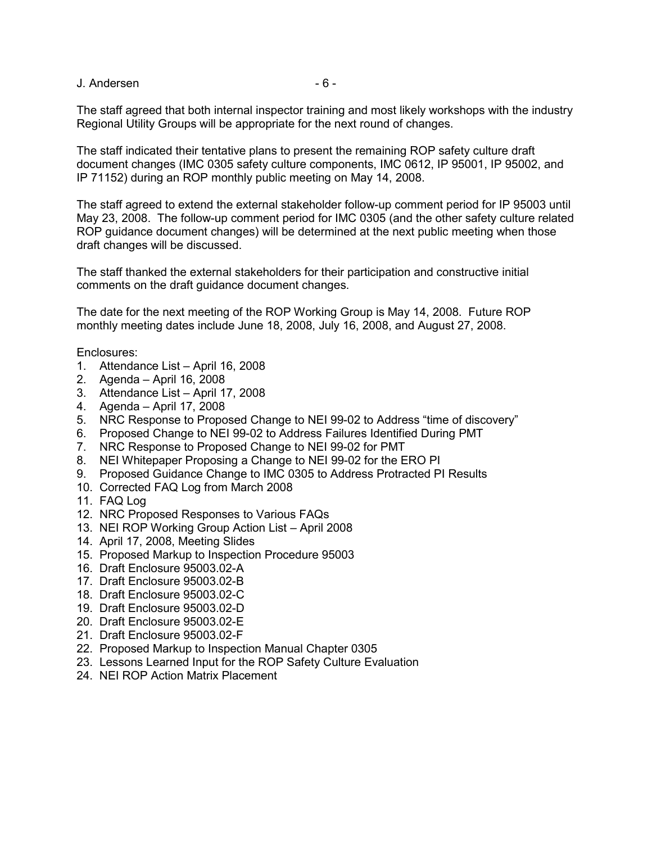J. Andersen - 6 -

The staff agreed that both internal inspector training and most likely workshops with the industry Regional Utility Groups will be appropriate for the next round of changes.

The staff indicated their tentative plans to present the remaining ROP safety culture draft document changes (IMC 0305 safety culture components, IMC 0612, IP 95001, IP 95002, and IP 71152) during an ROP monthly public meeting on May 14, 2008.

The staff agreed to extend the external stakeholder follow-up comment period for IP 95003 until May 23, 2008. The follow-up comment period for IMC 0305 (and the other safety culture related ROP guidance document changes) will be determined at the next public meeting when those draft changes will be discussed.

The staff thanked the external stakeholders for their participation and constructive initial comments on the draft guidance document changes.

The date for the next meeting of the ROP Working Group is May 14, 2008. Future ROP monthly meeting dates include June 18, 2008, July 16, 2008, and August 27, 2008.

Enclosures:

- 1. Attendance List April 16, 2008
- 2. Agenda April 16, 2008
- 3. Attendance List April 17, 2008
- 4. Agenda April 17, 2008
- 5. NRC Response to Proposed Change to NEI 99-02 to Address "time of discovery"
- 6. Proposed Change to NEI 99-02 to Address Failures Identified During PMT
- 7. NRC Response to Proposed Change to NEI 99-02 for PMT
- 8. NEI Whitepaper Proposing a Change to NEI 99-02 for the ERO PI
- 9. Proposed Guidance Change to IMC 0305 to Address Protracted PI Results
- 10. Corrected FAQ Log from March 2008
- 11. FAQ Log
- 12. NRC Proposed Responses to Various FAQs
- 13. NEI ROP Working Group Action List April 2008
- 14. April 17, 2008, Meeting Slides
- 15. Proposed Markup to Inspection Procedure 95003
- 16. Draft Enclosure 95003.02-A
- 17. Draft Enclosure 95003.02-B
- 18. Draft Enclosure 95003.02-C
- 19. Draft Enclosure 95003.02-D
- 20. Draft Enclosure 95003.02-E
- 21. Draft Enclosure 95003.02-F
- 22. Proposed Markup to Inspection Manual Chapter 0305
- 23. Lessons Learned Input for the ROP Safety Culture Evaluation
- 24. NEI ROP Action Matrix Placement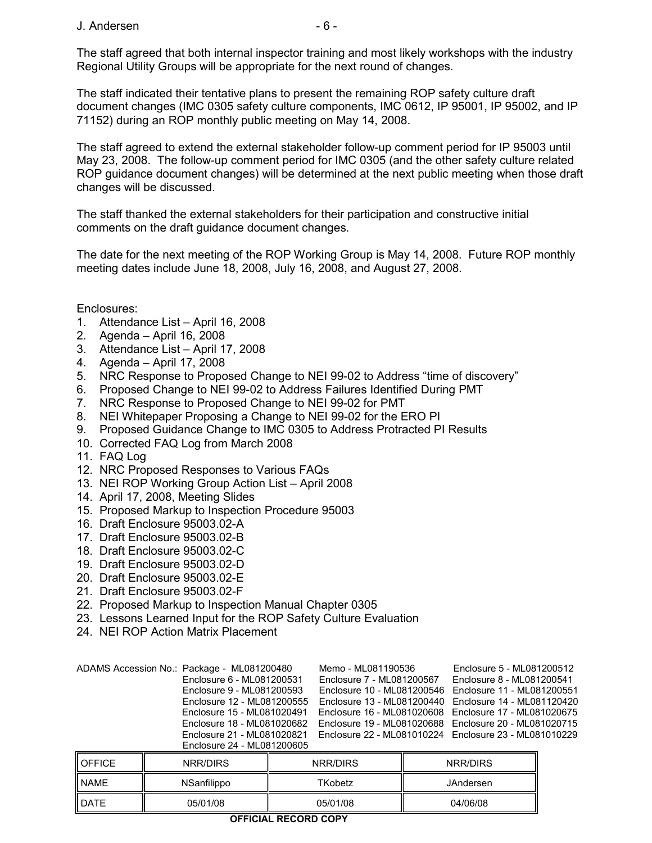The staff agreed that both internal inspector training and most likely workshops with the industry Regional Utility Groups will be appropriate for the next round of changes.

The staff indicated their tentative plans to present the remaining ROP safety culture draft document changes (IMC 0305 safety culture components, IMC 0612, IP 95001, IP 95002, and IP 71152) during an ROP monthly public meeting on May 14, 2008.

The staff agreed to extend the external stakeholder follow-up comment period for IP 95003 until May 23, 2008. The follow-up comment period for IMC 0305 (and the other safety culture related ROP guidance document changes) will be determined at the next public meeting when those draft changes will be discussed.

The staff thanked the external stakeholders for their participation and constructive initial comments on the draft guidance document changes.

The date for the next meeting of the ROP Working Group is May 14, 2008. Future ROP monthly meeting dates include June 18, 2008, July 16, 2008, and August 27, 2008.

Enclosures:

- 1. Attendance List April 16, 2008
- 2. Agenda April 16, 2008
- 3. Attendance List April 17, 2008
- 4. Agenda April 17, 2008
- 5. NRC Response to Proposed Change to NEI 99-02 to Address "time of discovery"
- 6. Proposed Change to NEI 99-02 to Address Failures Identified During PMT
- 7. NRC Response to Proposed Change to NEI 99-02 for PMT
- 8. NEI Whitepaper Proposing a Change to NEI 99-02 for the ERO PI
- 9. Proposed Guidance Change to IMC 0305 to Address Protracted PI Results
- 10. Corrected FAQ Log from March 2008
- 11. FAQ Log
- 12. NRC Proposed Responses to Various FAQs
- 13. NEI ROP Working Group Action List April 2008
- 14. April 17, 2008, Meeting Slides
- 15. Proposed Markup to Inspection Procedure 95003
- 16. Draft Enclosure 95003.02-A
- 17. Draft Enclosure 95003.02-B
- 18. Draft Enclosure 95003.02-C
- 19. Draft Enclosure 95003.02-D
- 20. Draft Enclosure 95003.02-E
- 21. Draft Enclosure 95003.02-F
- 22. Proposed Markup to Inspection Manual Chapter 0305
- 23. Lessons Learned Input for the ROP Safety Culture Evaluation
- 24. NEI ROP Action Matrix Placement

| ADAMS Accession No.: Package - ML081200480<br>Enclosure 6 - ML081200531 | Memo - ML081190536<br>Enclosure 7 - ML081200567          | Enclosure 5 - ML081200512<br>Enclosure 8 - ML081200541  |
|-------------------------------------------------------------------------|----------------------------------------------------------|---------------------------------------------------------|
| Enclosure 9 - ML081200593                                               | Enclosure 10 - ML081200546   Enclosure 11 - ML081200551  |                                                         |
| Enclosure 12 - ML081200555                                              |                                                          | Enclosure 13 - ML081200440   Enclosure 14 - ML081120420 |
| Enclosure 15 - ML081020491                                              | Enclosure 16 - ML081020608    Enclosure 17 - ML081020675 |                                                         |
| Enclosure 18 - ML081020682                                              | Enclosure 19 - ML081020688   Enclosure 20 - ML081020715  |                                                         |
| Enclosure 21 - ML081020821                                              | Enclosure 22 - ML081010224 Enclosure 23 - ML081010229    |                                                         |
| Enclosure 24 - ML081200605                                              |                                                          |                                                         |

| <b>DATE</b>   | 05/01/08    | 05/01/08 | 04/06/08  |
|---------------|-------------|----------|-----------|
| <b>NAME</b>   | NSanfilippo | TKobetz  | JAndersen |
| <b>OFFICE</b> | NRR/DIRS    | NRR/DIRS | NRR/DIRS  |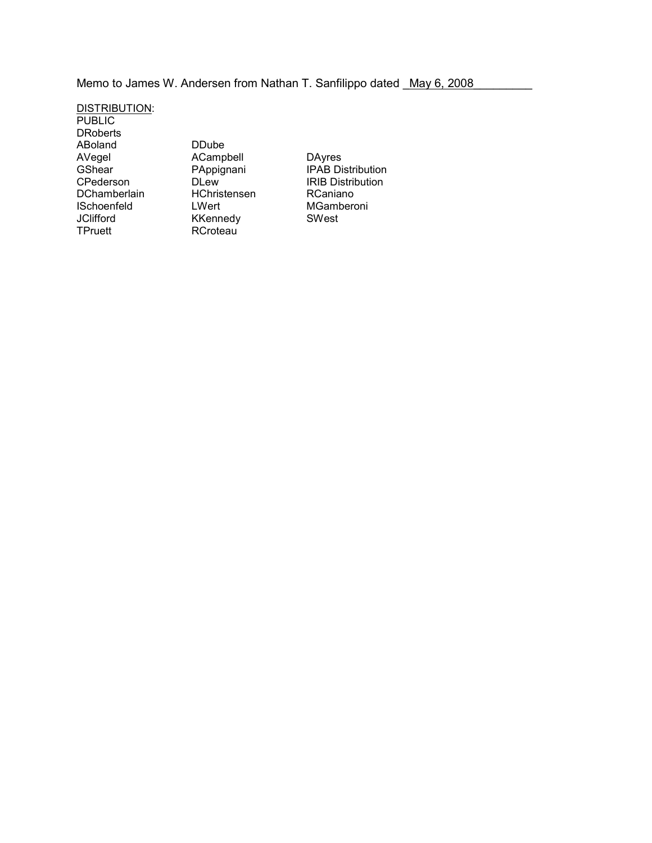Memo to James W. Andersen from Nathan T. Sanfilippo dated May 6, 2008

DISTRIBUTION: **PUBLIC DRoberts** ABoland DDube<br>AVegel ACampl<br>GShear PAppigr

ACampbell<br>PAppignani DChamberlain HChristensen RCaniano<br>ISchoenfeld LWert MGambero ISchoenfeld LWert MGamberoni<br>
JClifford KKennedy SWest JClifford KKennedy<br>
TPruett RCroteau RCroteau

AVegel ACampbell DAyres<br>
GShear PAppignani IPAB Distribution<br>
CPederson DLew IRIB Distribution IRIB Distribution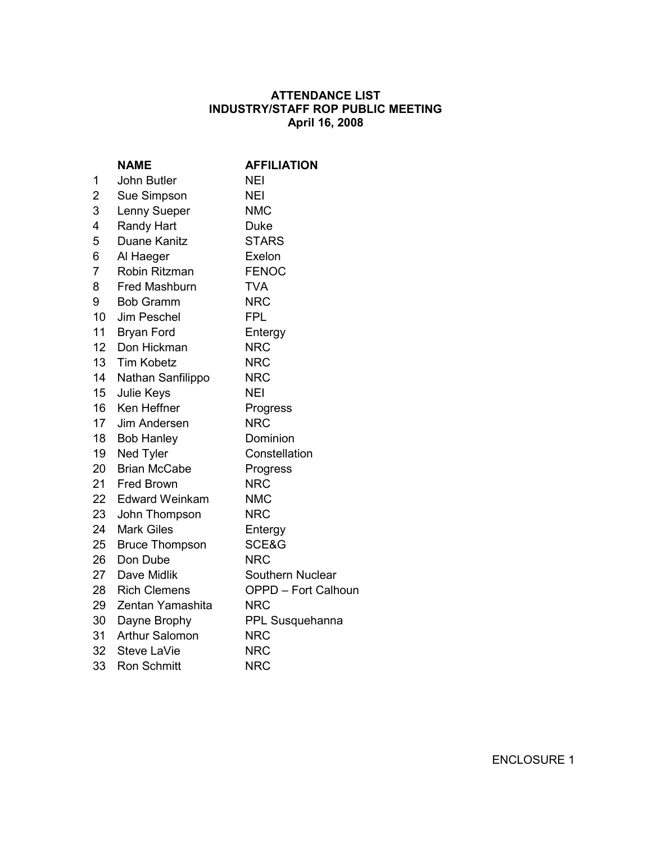# **ATTENDANCE LIST INDUSTRY/STAFF ROP PUBLIC MEETING April 16, 2008**

|                  | <b>NAME</b>           | <b>AFFILIATION</b>         |
|------------------|-----------------------|----------------------------|
| 1                | <b>John Butler</b>    | <b>NEI</b>                 |
| $\overline{2}$   | Sue Simpson           | <b>NEI</b>                 |
| 3                | Lenny Sueper          | <b>NMC</b>                 |
| 4                | <b>Randy Hart</b>     | <b>Duke</b>                |
| 5                | Duane Kanitz          | <b>STARS</b>               |
| 6                | Al Haeger             | Exelon                     |
| $\overline{7}$   | Robin Ritzman         | <b>FENOC</b>               |
| 8                | <b>Fred Mashburn</b>  | <b>TVA</b>                 |
| 9                | <b>Bob Gramm</b>      | <b>NRC</b>                 |
| $10-10$          | Jim Peschel           | <b>FPL</b>                 |
| 11               | <b>Bryan Ford</b>     | Entergy                    |
| 12 <sup>12</sup> | Don Hickman           | <b>NRC</b>                 |
|                  | 13 Tim Kobetz         | <b>NRC</b>                 |
| 14               | Nathan Sanfilippo     | <b>NRC</b>                 |
| 15 <sup>7</sup>  | Julie Keys            | <b>NEI</b>                 |
| 16 <sup>1</sup>  | Ken Heffner           | Progress                   |
| 17 <sup>1</sup>  | Jim Andersen          | <b>NRC</b>                 |
| 18 <sup>1</sup>  | <b>Bob Hanley</b>     | Dominion                   |
| 19               | Ned Tyler             | Constellation              |
| 20               | <b>Brian McCabe</b>   | Progress                   |
|                  | 21 Fred Brown         | <b>NRC</b>                 |
| 22 <sub>2</sub>  | <b>Edward Weinkam</b> | <b>NMC</b>                 |
| 23               | John Thompson         | <b>NRC</b>                 |
| 24               | <b>Mark Giles</b>     | Entergy                    |
| 25               | <b>Bruce Thompson</b> | SCE&G                      |
| 26               | Don Dube              | <b>NRC</b>                 |
| 27               | Dave Midlik           | Southern Nuclear           |
|                  | 28 Rich Clemens       | <b>OPPD - Fort Calhoun</b> |
| 29               | Zentan Yamashita      | <b>NRC</b>                 |
| 30               | Dayne Brophy          | PPL Susquehanna            |
| 31               | Arthur Salomon        | <b>NRC</b>                 |
|                  | 32 Steve LaVie        | <b>NRC</b>                 |
| 33               | <b>Ron Schmitt</b>    | <b>NRC</b>                 |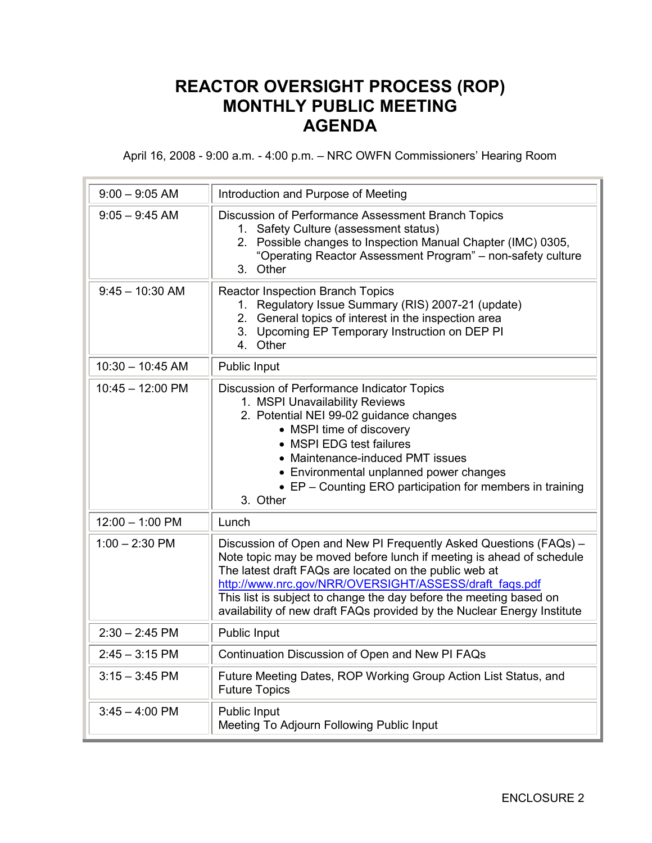# **REACTOR OVERSIGHT PROCESS (ROP) MONTHLY PUBLIC MEETING AGENDA**

April 16, 2008 - 9:00 a.m. - 4:00 p.m. – NRC OWFN Commissioners' Hearing Room

| $9:00 - 9:05$ AM           | Introduction and Purpose of Meeting                                                                                                                                                                                                                                                                                                                                                                            |
|----------------------------|----------------------------------------------------------------------------------------------------------------------------------------------------------------------------------------------------------------------------------------------------------------------------------------------------------------------------------------------------------------------------------------------------------------|
| $9:05 - 9:45$ AM           | Discussion of Performance Assessment Branch Topics<br>1. Safety Culture (assessment status)<br>2. Possible changes to Inspection Manual Chapter (IMC) 0305,<br>"Operating Reactor Assessment Program" - non-safety culture<br>3. Other                                                                                                                                                                         |
| $9:45 - 10:30$ AM          | <b>Reactor Inspection Branch Topics</b><br>1. Regulatory Issue Summary (RIS) 2007-21 (update)<br>2. General topics of interest in the inspection area<br>3. Upcoming EP Temporary Instruction on DEP PI<br>4. Other                                                                                                                                                                                            |
| $10:30 - 10:45$ AM         | Public Input                                                                                                                                                                                                                                                                                                                                                                                                   |
| $10:45 - 12:00 \text{ PM}$ | Discussion of Performance Indicator Topics<br>1. MSPI Unavailability Reviews<br>2. Potential NEI 99-02 guidance changes<br>• MSPI time of discovery<br>• MSPI EDG test failures<br>• Maintenance-induced PMT issues<br>• Environmental unplanned power changes<br>• EP - Counting ERO participation for members in training<br>3. Other                                                                        |
| $12:00 - 1:00$ PM          | Lunch                                                                                                                                                                                                                                                                                                                                                                                                          |
| $1:00 - 2:30$ PM           | Discussion of Open and New PI Frequently Asked Questions (FAQs) -<br>Note topic may be moved before lunch if meeting is ahead of schedule<br>The latest draft FAQs are located on the public web at<br>http://www.nrc.gov/NRR/OVERSIGHT/ASSESS/draft faqs.pdf<br>This list is subject to change the day before the meeting based on<br>availability of new draft FAQs provided by the Nuclear Energy Institute |
| $2:30 - 2:45$ PM           | Public Input                                                                                                                                                                                                                                                                                                                                                                                                   |
| $2:45 - 3:15$ PM           | Continuation Discussion of Open and New PI FAQs                                                                                                                                                                                                                                                                                                                                                                |
| $3:15 - 3:45$ PM           | Future Meeting Dates, ROP Working Group Action List Status, and<br><b>Future Topics</b>                                                                                                                                                                                                                                                                                                                        |
| $3:45 - 4:00$ PM           | Public Input<br>Meeting To Adjourn Following Public Input                                                                                                                                                                                                                                                                                                                                                      |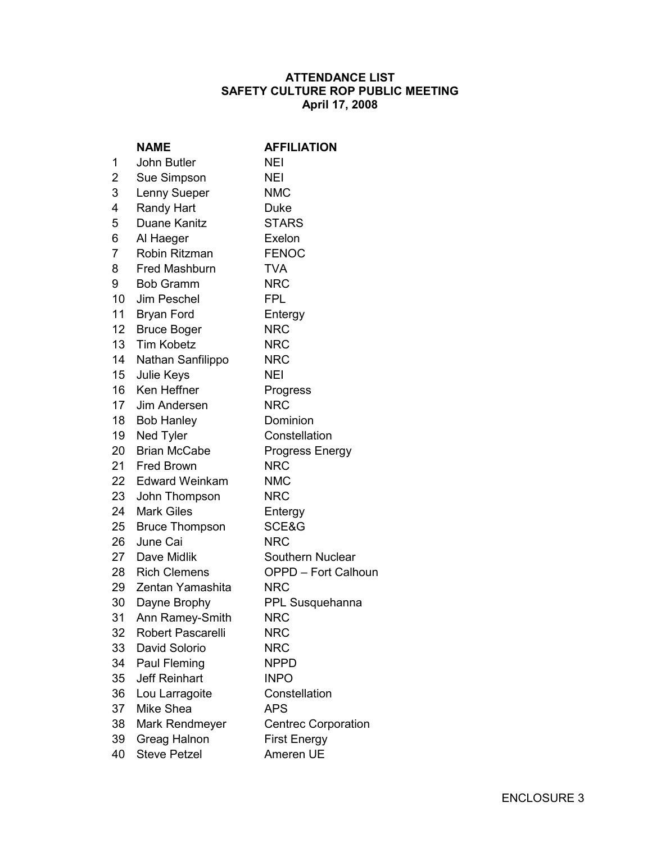## **ATTENDANCE LIST SAFETY CULTURE ROP PUBLIC MEETING April 17, 2008**

|                  | <b>NAME</b>              | <b>AFFILIATION</b>         |
|------------------|--------------------------|----------------------------|
| 1                | John Butler              | NEI                        |
| $\overline{2}$   | Sue Simpson              | <b>NEI</b>                 |
| 3                | Lenny Sueper             | <b>NMC</b>                 |
| 4                | Randy Hart               | <b>Duke</b>                |
| 5                | Duane Kanitz             | <b>STARS</b>               |
| 6                | Al Haeger                | Exelon                     |
| $\overline{7}$   | Robin Ritzman            | <b>FENOC</b>               |
| 8                | <b>Fred Mashburn</b>     | <b>TVA</b>                 |
| 9                | <b>Bob Gramm</b>         | <b>NRC</b>                 |
| 10 <sup>1</sup>  | Jim Peschel              | <b>FPL</b>                 |
| 11               | <b>Bryan Ford</b>        | Entergy                    |
| 12 <sup>12</sup> | <b>Bruce Boger</b>       | <b>NRC</b>                 |
| 13 <sup>7</sup>  | <b>Tim Kobetz</b>        | <b>NRC</b>                 |
| 14               | Nathan Sanfilippo        | <b>NRC</b>                 |
| 15               | Julie Keys               | <b>NEI</b>                 |
|                  | 16 Ken Heffner           | Progress                   |
|                  | 17 Jim Andersen          | <b>NRC</b>                 |
|                  | 18 Bob Hanley            | Dominion                   |
| 19               | Ned Tyler                | Constellation              |
| 20               | <b>Brian McCabe</b>      | <b>Progress Energy</b>     |
|                  | 21 Fred Brown            | <b>NRC</b>                 |
|                  | 22 Edward Weinkam        | <b>NMC</b>                 |
| 23               | John Thompson            | <b>NRC</b>                 |
| 24               | <b>Mark Giles</b>        | Entergy                    |
| 25               | <b>Bruce Thompson</b>    | SCE&G                      |
| 26               | June Cai                 | <b>NRC</b>                 |
|                  | 27 Dave Midlik           | Southern Nuclear           |
|                  | 28 Rich Clemens          | <b>OPPD - Fort Calhoun</b> |
|                  | 29 Zentan Yamashita      | <b>NRC</b>                 |
| 30               | Dayne Brophy             | PPL Susquehanna            |
| 31               | Ann Ramey-Smith          | <b>NRC</b>                 |
| 32               | <b>Robert Pascarelli</b> | <b>NRC</b>                 |
| 33               | David Solorio            | <b>NRC</b>                 |
| 34               | Paul Fleming             | <b>NPPD</b>                |
| 35               | <b>Jeff Reinhart</b>     | <b>INPO</b>                |
| 36               | Lou Larragoite           | Constellation              |
| 37               | Mike Shea                | <b>APS</b>                 |
| 38               | Mark Rendmeyer           | <b>Centrec Corporation</b> |
| 39               | Greag Halnon             | <b>First Energy</b>        |
| 40               | <b>Steve Petzel</b>      | Ameren UE                  |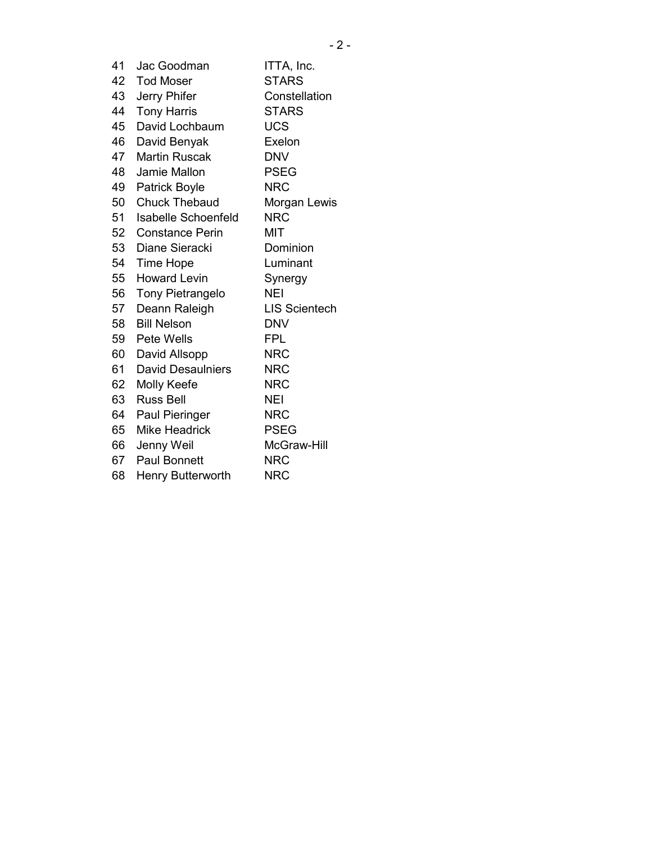| 41 | Jac Goodman          | ITTA, Inc.    |
|----|----------------------|---------------|
| 42 | <b>Tod Moser</b>     | <b>STARS</b>  |
| 43 | Jerry Phifer         | Constellation |
| 44 | <b>Tony Harris</b>   | <b>STARS</b>  |
| 45 | David Lochbaum       | <b>UCS</b>    |
| 46 | David Benyak         | Exelon        |
| 47 | Martin Ruscak        | DNV           |
| 48 | Jamie Mallon         | <b>PSEG</b>   |
| 49 | <b>Patrick Boyle</b> | <b>NRC</b>    |
| 50 | Chuck Thebaud        | Morgan Lewis  |
| 51 | Isabelle Schoenfeld  | <b>NRC</b>    |
| 52 | Constance Perin      | міт           |
|    |                      |               |

53 Diane Sieracki Dominion

54 Time Hope Luminant

55 Howard Levin Synergy

- 56 Tony Pietrangelo NEI
- 57 Deann Raleigh LIS Scientech 58 Bill Nelson DNV
- 59 Pete Wells FPL
- 60 David Allsopp NRC 61 David Desaulniers NRC
- 62 Molly Keefe NRC
- 63 Russ Bell NEI
- 64 Paul Pieringer NRC
- 65 Mike Headrick PSEG
- 66 Jenny Weil McGraw-Hill
- 67 Paul Bonnett NRC 68 Henry Butterworth NRC